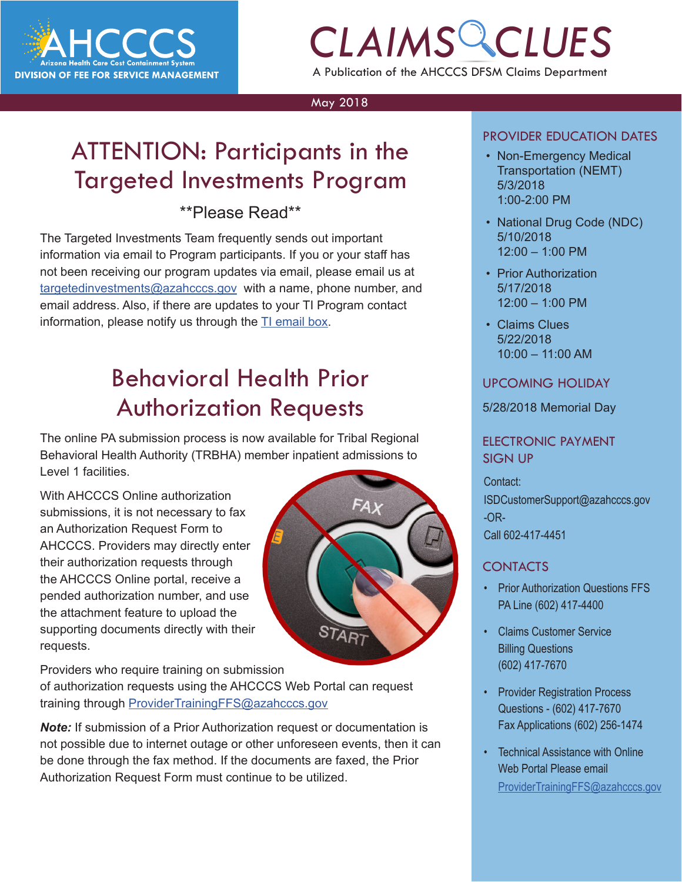

# *CLAIMS CLUES* A Publication of the AHCCCS DFSM Claims Department

#### May 2018

## ATTENTION: Participants in the Targeted Investments Program

## \*\*Please Read\*\*

The Targeted Investments Team frequently sends out important information via email to Program participants. If you or your staff has not been receiving our program updates via email, please email us at [targetedinvestments@azahcccs.gov](mailto:targetedinvestments@azahcccs.gov) with a name, phone number, and email address. Also, if there are updates to your TI Program contact information, please notify us through the [TI email box](mailto:targetedinvestments@azahcccs.gov).

## Behavioral Health Prior Authorization Requests

The online PA submission process is now available for Tribal Regional Behavioral Health Authority (TRBHA) member inpatient admissions to Level 1 facilities.

With AHCCCS Online authorization submissions, it is not necessary to fax an Authorization Request Form to AHCCCS. Providers may directly enter their authorization requests through the AHCCCS Online portal, receive a pended authorization number, and use the attachment feature to upload the supporting documents directly with their requests.

START

 $FAx$ 

Providers who require training on submission

of authorization requests using the AHCCCS Web Portal can request training through [ProviderTrainingFFS@azahcccs.gov](mailto:ProviderTrainingFFS%40azahcccs.gov?subject=)

*Note:* If submission of a Prior Authorization request or documentation is not possible due to internet outage or other unforeseen events, then it can be done through the fax method. If the documents are faxed, the Prior Authorization Request Form must continue to be utilized.

### PROVIDER EDUCATION DATES

- **COLAINS CONSUMER EDUCATION DATES**<br> **COLAINS FRAMS CONSUMING COLORATION**<br> **COLORATION** • Non-Emergency Medical Transportation (NEMT) 5/3/2018 1:00-2:00 PM
	- National Drug Code (NDC) 5/10/2018 12:00 – 1:00 PM
	- Prior Authorization 5/17/2018 12:00 – 1:00 PM
	- Claims Clues 5/22/2018 10:00 – 11:00 AM

### UPCOMING HOLIDAY

5/28/2018 Memorial Day

### ELECTRONIC PAYMENT SIGN UP

Contact: ISDCustomerSupport@azahcccs.gov -OR-Call 602-417-4451

### **CONTACTS**

- **Prior Authorization Questions FFS** PA Line (602) 417-4400
- Claims Customer Service Billing Questions (602) 417-7670
- Provider Registration Process Questions - (602) 417-7670 Fax Applications (602) 256-1474
- Technical Assistance with Online Web Portal Please email [ProviderTrainingFFS@azahcccs.gov](mailto:ProviderTrainingFFS%40azahcccs.gov%20?subject=)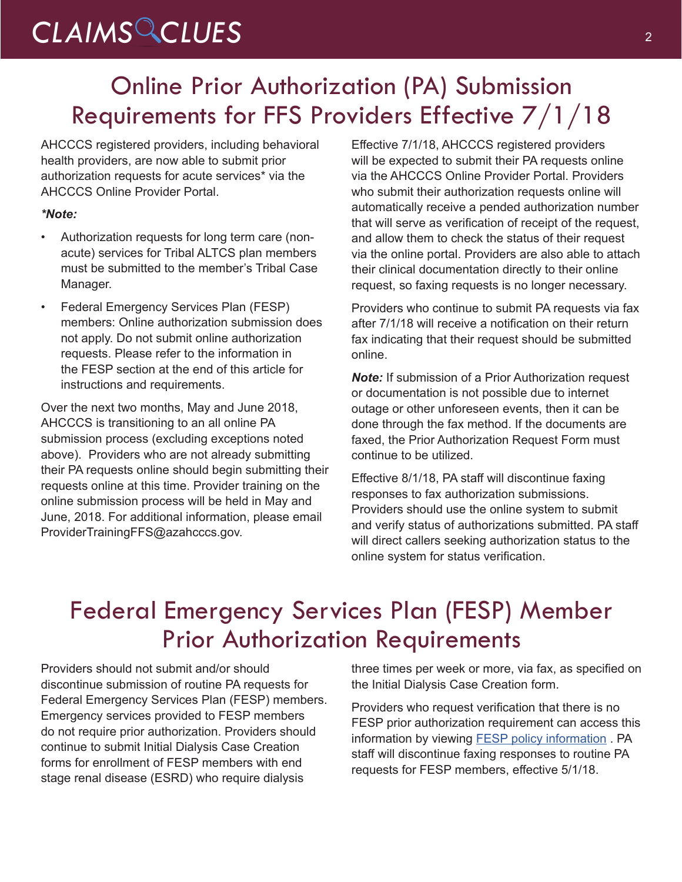# *CLAIMS CLUES* <sup>2</sup>

## Online Prior Authorization (PA) Submission Requirements for FFS Providers Effective 7/1/18

AHCCCS registered providers, including behavioral health providers, are now able to submit prior authorization requests for acute services\* via the AHCCCS Online Provider Portal.

### *\*Note:*

- Authorization requests for long term care (nonacute) services for Tribal ALTCS plan members must be submitted to the member's Tribal Case Manager.
- Federal Emergency Services Plan (FESP) members: Online authorization submission does not apply. Do not submit online authorization requests. Please refer to the information in the FESP section at the end of this article for instructions and requirements.

Over the next two months, May and June 2018, AHCCCS is transitioning to an all online PA submission process (excluding exceptions noted above). Providers who are not already submitting their PA requests online should begin submitting their requests online at this time. Provider training on the online submission process will be held in May and June, 2018. For additional information, please email ProviderTrainingFFS@azahcccs.gov.

Effective 7/1/18, AHCCCS registered providers will be expected to submit their PA requests online via the AHCCCS Online Provider Portal. Providers who submit their authorization requests online will automatically receive a pended authorization number that will serve as verification of receipt of the request, and allow them to check the status of their request via the online portal. Providers are also able to attach their clinical documentation directly to their online request, so faxing requests is no longer necessary.

Providers who continue to submit PA requests via fax after 7/1/18 will receive a notification on their return fax indicating that their request should be submitted online.

*Note:* If submission of a Prior Authorization request or documentation is not possible due to internet outage or other unforeseen events, then it can be done through the fax method. If the documents are faxed, the Prior Authorization Request Form must continue to be utilized.

Effective 8/1/18, PA staff will discontinue faxing responses to fax authorization submissions. Providers should use the online system to submit and verify status of authorizations submitted. PA staff will direct callers seeking authorization status to the online system for status verification.

## Federal Emergency Services Plan (FESP) Member Prior Authorization Requirements

Providers should not submit and/or should discontinue submission of routine PA requests for Federal Emergency Services Plan (FESP) members. Emergency services provided to FESP members do not require prior authorization. Providers should continue to submit Initial Dialysis Case Creation forms for enrollment of FESP members with end stage renal disease (ESRD) who require dialysis

three times per week or more, via fax, as specified on the Initial Dialysis Case Creation form.

Providers who request verification that there is no FESP prior authorization requirement can access this information by viewing **FESP** policy information . PA staff will discontinue faxing responses to routine PA requests for FESP members, effective 5/1/18.